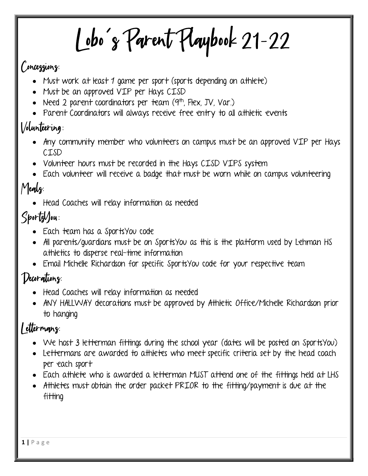Lobo's Parent Playbook 21-22

#### Concessions:

- Must work at least 1 game per sport (sports depending on attilete)
- Must be an approved VIP per Hays CISD
- Need 2 parent coordinators per team  $(9<sup>th</sup>)$ , Flex, JV, Var.)
- Parent Coordinators will always receive free entry to all athletic events

#### Volunteering:

- Any community member who volunteers on campus must be an approved VIP per Hays CISD
- Volunteer hours must be recorded in the Hays CISD VIPS system
- Each volunteer will receive a badge that must be worn while on campus volunteering

#### Meals:

Head Coaches will relay information as needed

## $S$ ports $V$ ou:

- Each team has a SportsYou code
- All parents/quardians must be on SportsYou as this is the platform used by Lehman HS athletics to disperse real-time information
- Email Michelle Richardson for specific SportsYou code for your respective team

#### Decorations:

- Head Coaches will relay information as needed
- ANY HALLWAY decorations must be approved by Athletic Office/Michelle Richardson prior to hanging

#### Lettermang:

- We host 3 letterman fittings during the school year (dates will be posted on SportsYou)
- Lettermans are awarded to athletes who meet specific criteria set by the head coach per each sport
- Each athlete who is awarded a letterman MUST attend one of the fittings held at LHS
- Athletes must obtain the order packet PRIOR to the fitting/payment is due at the fitting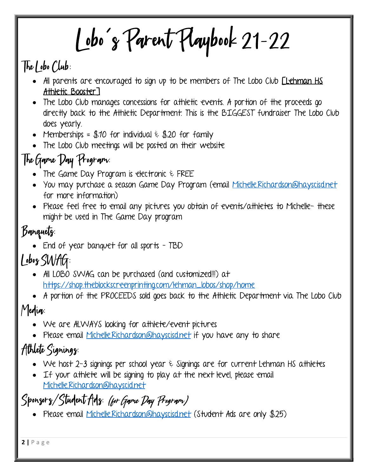Lobo's Parent Playbook 21-22

#### The Lobo Club:

- All parents are encouraged to sign up to be members of The Lobo Club *[Lehman HS* Athletic Booster]
- The Lobo Club manages concessions for athletic events. A portion of the proceeds go directly back to the Athletic Department. This is the BIGGEST fundraiser The Lobo Club does yearly.
- Memberships = \$10 for individual  $\epsilon$  \$20 for family
- The Lobo Club meetings will be posted on their website

## The Garne Day Program:

- The Game Day Program is electronic & FREE
- You may purchase a season Game Day Program (email Michelle.Richardson@hayscisd.net for more information)
- Please feel free to email any pictures you obtain of events/athletes to Michelle- these might be used in The Game Day program

#### Banquets:

• End of year banquet for all sports - TBD

## Lobog SWAG:

- All LOBO SWAG can be purchased (and customized!!!) at https://shop.theblockscreenprinting.com/lehman\_lobos/shop/home
- A portion of the PROCEEDS sold goes back to the Athletic Department via The Lobo Club

#### Media:

- We are ALWAYS looking for athlete/event pictures
- Please email Michelle.Richardson@hayscisd.net if you have any to share

## Athlete Signings:

- We host 2-3 signings per school year  $\epsilon$  Signings are for current Lehman HS attiletes
- If your athlete will be signing to play at the next level, please email Michelle.Richardson@hayscid.net

#### Spongorg/Student Adg: (for Garne Day Program)

Please email Michelle.Richardson@hayscisd.net (Student Ads are only \$25)